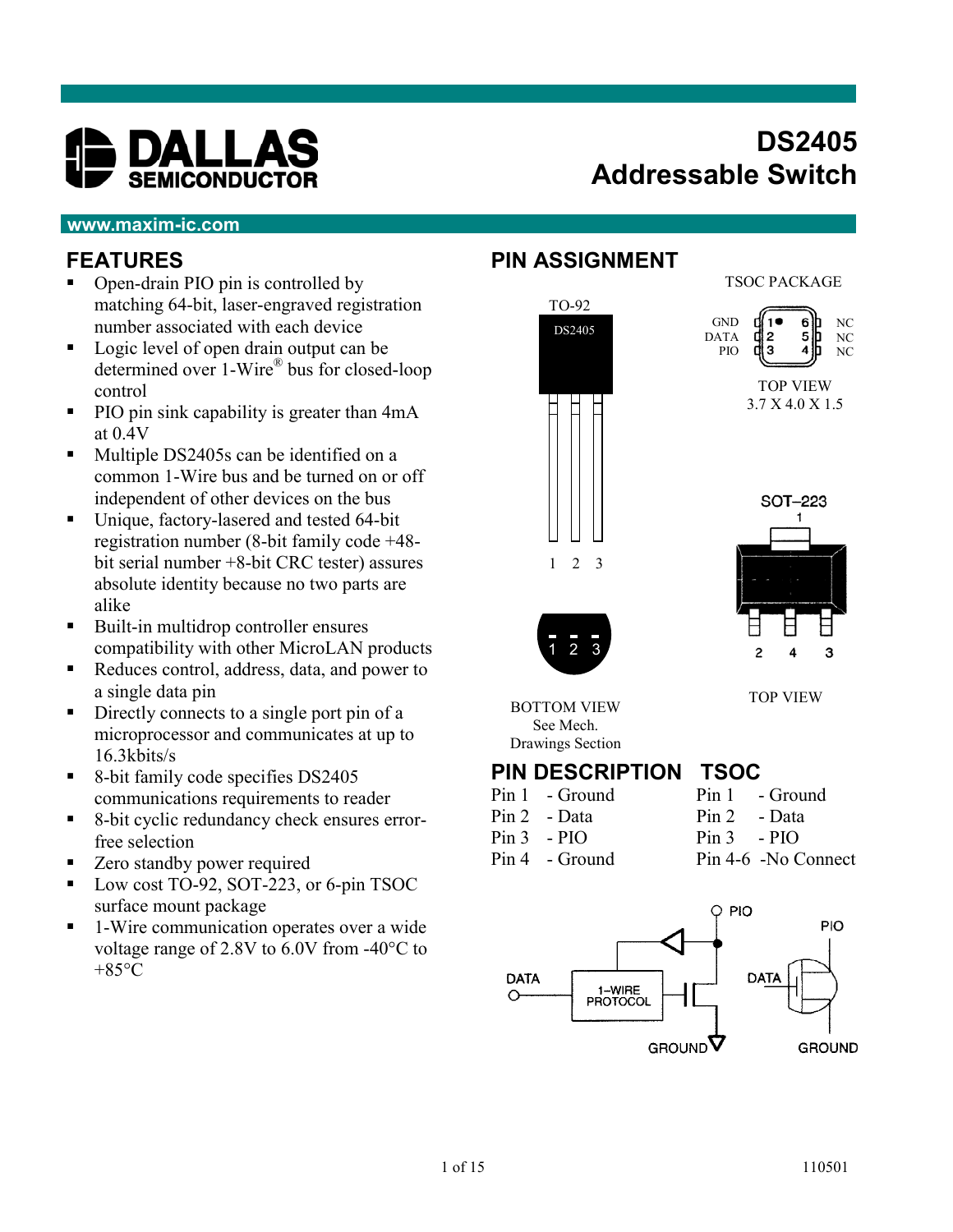

# **DS2405 Addressable Switch**

#### **www.maxim-ic.com**

#### **FEATURES**

- Open-drain PIO pin is controlled by matching 64-bit, laser-engraved registration number associated with each device
- Logic level of open drain output can be determined over 1-Wire® bus for closed-loop control
- PIO pin sink capability is greater than 4mA at 0.4V
- Multiple DS2405s can be identified on a common 1-Wire bus and be turned on or off independent of other devices on the bus
- Unique, factory-lasered and tested 64-bit registration number (8-bit family code +48 bit serial number +8-bit CRC tester) assures absolute identity because no two parts are alike
- Built-in multidrop controller ensures compatibility with other MicroLAN products
- Reduces control, address, data, and power to a single data pin
- Directly connects to a single port pin of a microprocessor and communicates at up to 16.3kbits/s
- 8-bit family code specifies DS2405 communications requirements to reader
- 8-bit cyclic redundancy check ensures errorfree selection
- Zero standby power required
- Low cost TO-92, SOT-223, or 6-pin TSOC surface mount package
- 1-Wire communication operates over a wide voltage range of 2.8V to 6.0V from -40°C to  $+85$ °C

#### **PIN ASSIGNMENT**



TSOC PACKAGE



TOP VIEW 3.7 X 4.0 X 1.5



TOP VIEW

BOTTOM VIEW

See Mech. Drawings Section

#### **PIN DESCRIPTION TSOC**

- Pin 1 Ground Pin 1 Ground
- Pin 2 Data Pin 2 Data Pin 3 - PIO Pin 3 - PIO
	-
- Pin 4 Ground Pin 4-6 -No Connect

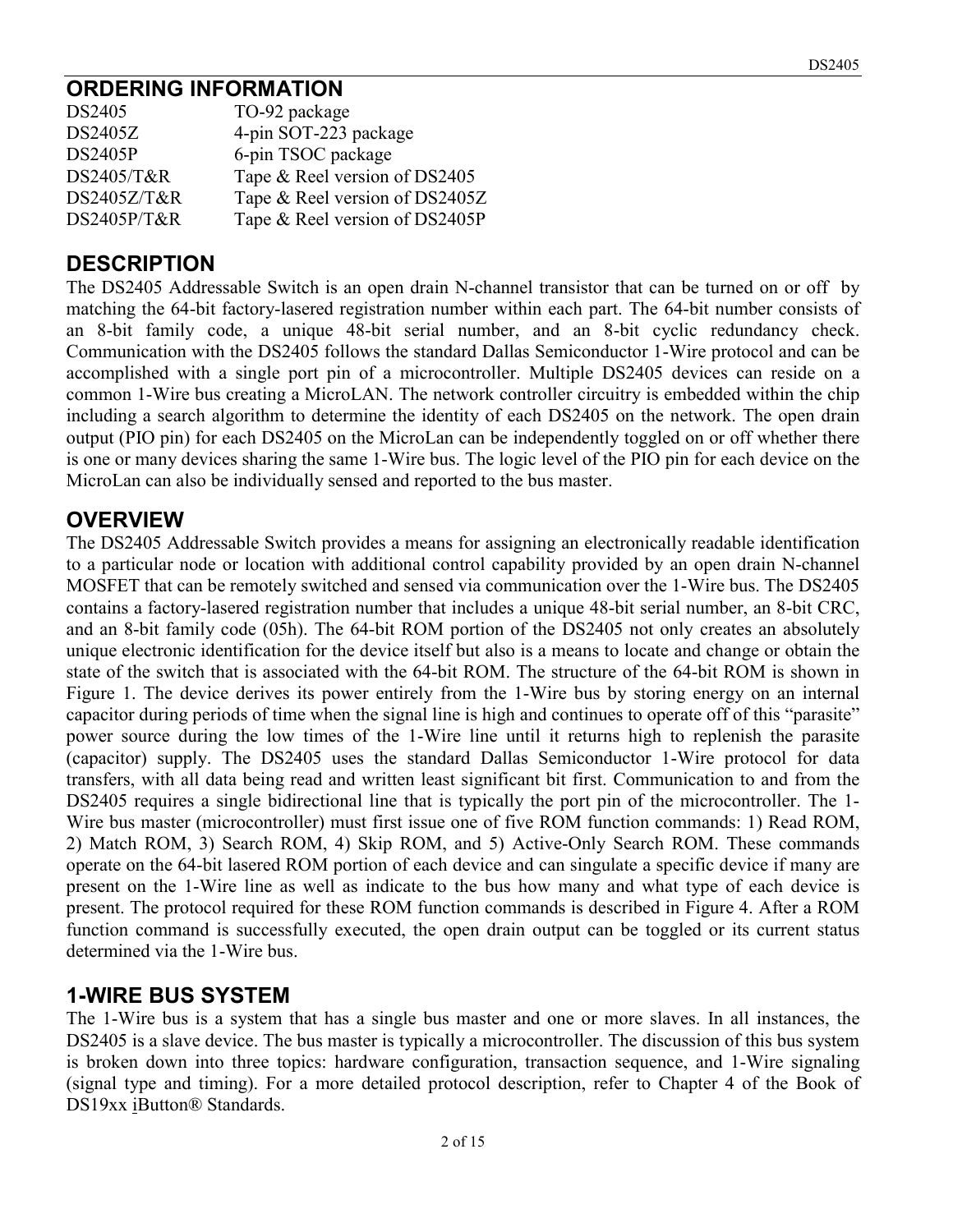## **ORDERING INFORMATION**

| DS2405         | TO-92 package                  |
|----------------|--------------------------------|
| DS2405Z        | 4-pin SOT-223 package          |
| <b>DS2405P</b> | 6-pin TSOC package             |
| DS2405/T&R     | Tape & Reel version of DS2405  |
| DS2405Z/T&R    | Tape & Reel version of DS2405Z |
| DS2405P/T&R    | Tape & Reel version of DS2405P |

### **DESCRIPTION**

The DS2405 Addressable Switch is an open drain N-channel transistor that can be turned on or off by matching the 64-bit factory-lasered registration number within each part. The 64-bit number consists of an 8-bit family code, a unique 48-bit serial number, and an 8-bit cyclic redundancy check. Communication with the DS2405 follows the standard Dallas Semiconductor 1-Wire protocol and can be accomplished with a single port pin of a microcontroller. Multiple DS2405 devices can reside on a common 1-Wire bus creating a MicroLAN. The network controller circuitry is embedded within the chip including a search algorithm to determine the identity of each DS2405 on the network. The open drain output (PIO pin) for each DS2405 on the MicroLan can be independently toggled on or off whether there is one or many devices sharing the same 1-Wire bus. The logic level of the PIO pin for each device on the MicroLan can also be individually sensed and reported to the bus master.

#### **OVERVIEW**

The DS2405 Addressable Switch provides a means for assigning an electronically readable identification to a particular node or location with additional control capability provided by an open drain N-channel MOSFET that can be remotely switched and sensed via communication over the 1-Wire bus. The DS2405 contains a factory-lasered registration number that includes a unique 48-bit serial number, an 8-bit CRC, and an 8-bit family code (05h). The 64-bit ROM portion of the DS2405 not only creates an absolutely unique electronic identification for the device itself but also is a means to locate and change or obtain the state of the switch that is associated with the 64-bit ROM. The structure of the 64-bit ROM is shown in Figure 1. The device derives its power entirely from the 1-Wire bus by storing energy on an internal capacitor during periods of time when the signal line is high and continues to operate off of this "parasite" power source during the low times of the 1-Wire line until it returns high to replenish the parasite (capacitor) supply. The DS2405 uses the standard Dallas Semiconductor 1-Wire protocol for data transfers, with all data being read and written least significant bit first. Communication to and from the DS2405 requires a single bidirectional line that is typically the port pin of the microcontroller. The 1- Wire bus master (microcontroller) must first issue one of five ROM function commands: 1) Read ROM, 2) Match ROM, 3) Search ROM, 4) Skip ROM, and 5) Active-Only Search ROM. These commands operate on the 64-bit lasered ROM portion of each device and can singulate a specific device if many are present on the 1-Wire line as well as indicate to the bus how many and what type of each device is present. The protocol required for these ROM function commands is described in Figure 4. After a ROM function command is successfully executed, the open drain output can be toggled or its current status determined via the 1-Wire bus.

# **1-WIRE BUS SYSTEM**

The 1-Wire bus is a system that has a single bus master and one or more slaves. In all instances, the DS2405 is a slave device. The bus master is typically a microcontroller. The discussion of this bus system is broken down into three topics: hardware configuration, transaction sequence, and 1-Wire signaling (signal type and timing). For a more detailed protocol description, refer to Chapter 4 of the Book of DS19xx iButton® Standards.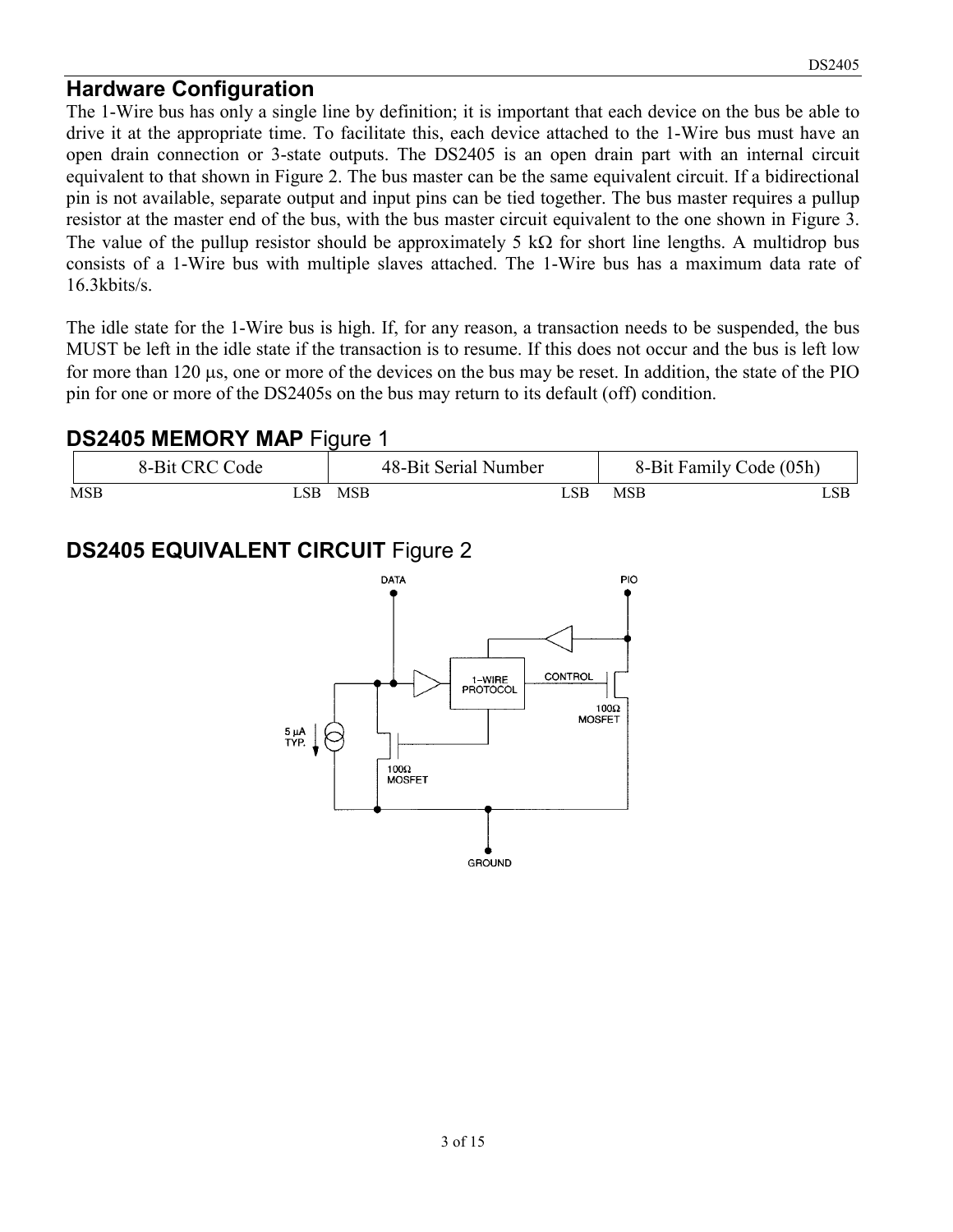#### **Hardware Configuration**

The 1-Wire bus has only a single line by definition; it is important that each device on the bus be able to drive it at the appropriate time. To facilitate this, each device attached to the 1-Wire bus must have an open drain connection or 3-state outputs. The DS2405 is an open drain part with an internal circuit equivalent to that shown in Figure 2. The bus master can be the same equivalent circuit. If a bidirectional pin is not available, separate output and input pins can be tied together. The bus master requires a pullup resistor at the master end of the bus, with the bus master circuit equivalent to the one shown in Figure 3. The value of the pullup resistor should be approximately 5 k $\Omega$  for short line lengths. A multidrop bus consists of a 1-Wire bus with multiple slaves attached. The 1-Wire bus has a maximum data rate of 16.3kbits/s.

The idle state for the 1-Wire bus is high. If, for any reason, a transaction needs to be suspended, the bus MUST be left in the idle state if the transaction is to resume. If this does not occur and the bus is left low for more than 120 µs, one or more of the devices on the bus may be reset. In addition, the state of the PIO pin for one or more of the DS2405s on the bus may return to its default (off) condition.

#### **DS2405 MEMORY MAP** Figure 1

|            | 8-Bit CRC Code |      |            | 48-Bit Serial Number |      | 8-Bit Family Code (05h) |  |
|------------|----------------|------|------------|----------------------|------|-------------------------|--|
| <b>MSB</b> |                | . SB | <b>MSB</b> |                      | . SB | <b>MSB</b>              |  |

# **DS2405 EQUIVALENT CIRCUIT** Figure 2

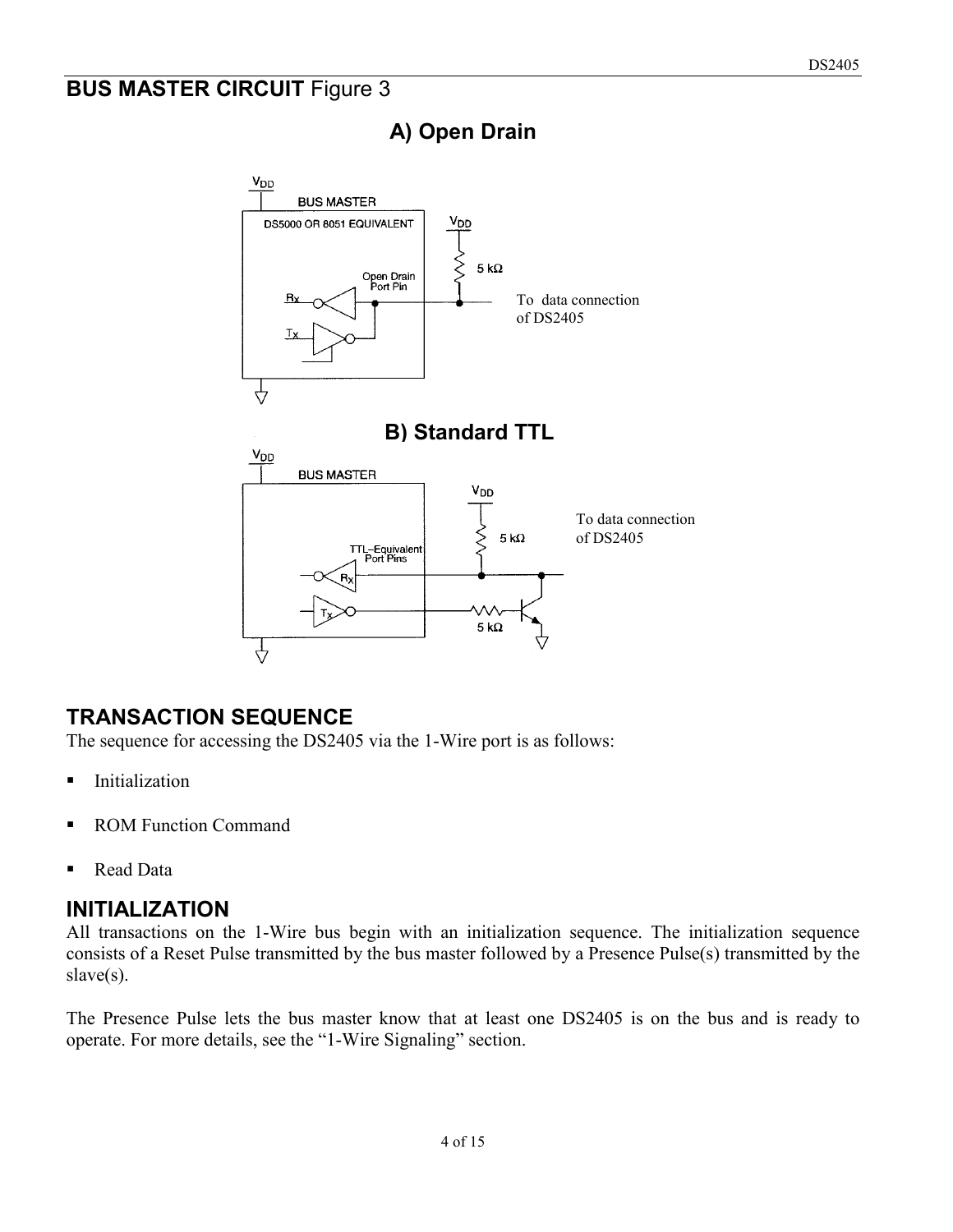### **BUS MASTER CIRCUIT Figure 3**



# **A) Open Drain**

#### **TRANSACTION SEQUENCE**

The sequence for accessing the DS2405 via the 1-Wire port is as follows:

- **Initialization**
- ROM Function Command
- Read Data

#### **INITIALIZATION**

All transactions on the 1-Wire bus begin with an initialization sequence. The initialization sequence consists of a Reset Pulse transmitted by the bus master followed by a Presence Pulse(s) transmitted by the slave(s).

The Presence Pulse lets the bus master know that at least one DS2405 is on the bus and is ready to operate. For more details, see the "1-Wire Signaling" section.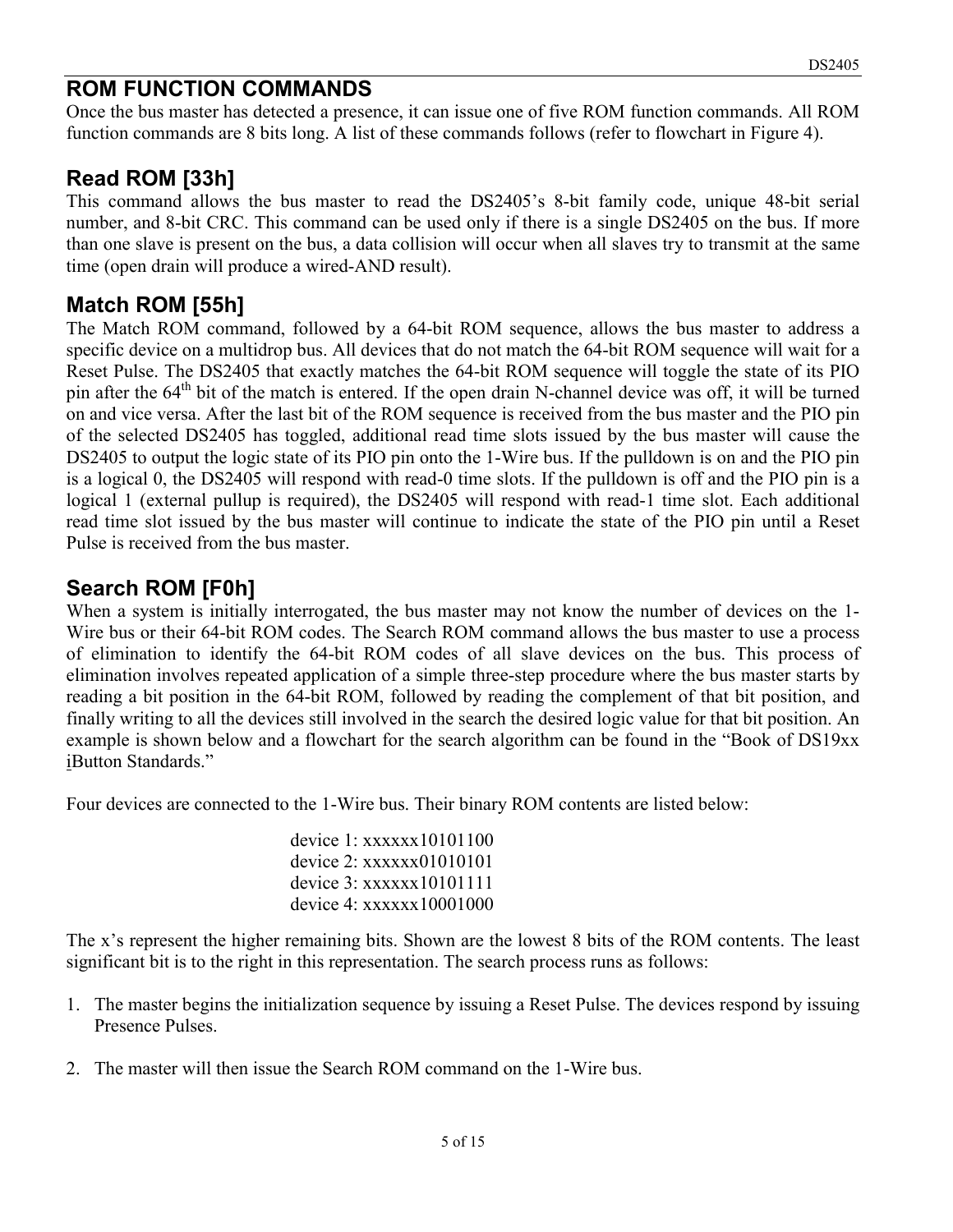#### **ROM FUNCTION COMMANDS**

Once the bus master has detected a presence, it can issue one of five ROM function commands. All ROM function commands are 8 bits long. A list of these commands follows (refer to flowchart in Figure 4).

#### **Read ROM [33h]**

This command allows the bus master to read the DS2405's 8-bit family code, unique 48-bit serial number, and 8-bit CRC. This command can be used only if there is a single DS2405 on the bus. If more than one slave is present on the bus, a data collision will occur when all slaves try to transmit at the same time (open drain will produce a wired-AND result).

#### **Match ROM [55h]**

The Match ROM command, followed by a 64-bit ROM sequence, allows the bus master to address a specific device on a multidrop bus. All devices that do not match the 64-bit ROM sequence will wait for a Reset Pulse. The DS2405 that exactly matches the 64-bit ROM sequence will toggle the state of its PIO pin after the  $64<sup>th</sup>$  bit of the match is entered. If the open drain N-channel device was off, it will be turned on and vice versa. After the last bit of the ROM sequence is received from the bus master and the PIO pin of the selected DS2405 has toggled, additional read time slots issued by the bus master will cause the DS2405 to output the logic state of its PIO pin onto the 1-Wire bus. If the pulldown is on and the PIO pin is a logical 0, the DS2405 will respond with read-0 time slots. If the pulldown is off and the PIO pin is a logical 1 (external pullup is required), the DS2405 will respond with read-1 time slot. Each additional read time slot issued by the bus master will continue to indicate the state of the PIO pin until a Reset Pulse is received from the bus master.

#### **Search ROM [F0h]**

When a system is initially interrogated, the bus master may not know the number of devices on the 1- Wire bus or their 64-bit ROM codes. The Search ROM command allows the bus master to use a process of elimination to identify the 64-bit ROM codes of all slave devices on the bus. This process of elimination involves repeated application of a simple three-step procedure where the bus master starts by reading a bit position in the 64-bit ROM, followed by reading the complement of that bit position, and finally writing to all the devices still involved in the search the desired logic value for that bit position. An example is shown below and a flowchart for the search algorithm can be found in the "Book of DS19xx iButton Standards."

Four devices are connected to the 1-Wire bus. Their binary ROM contents are listed below:

device 1: xxxxxx10101100 device 2: xxxxxx01010101 device 3: xxxxxx10101111 device 4: xxxxxx10001000

The x's represent the higher remaining bits. Shown are the lowest 8 bits of the ROM contents. The least significant bit is to the right in this representation. The search process runs as follows:

- 1. The master begins the initialization sequence by issuing a Reset Pulse. The devices respond by issuing Presence Pulses.
- 2. The master will then issue the Search ROM command on the 1-Wire bus.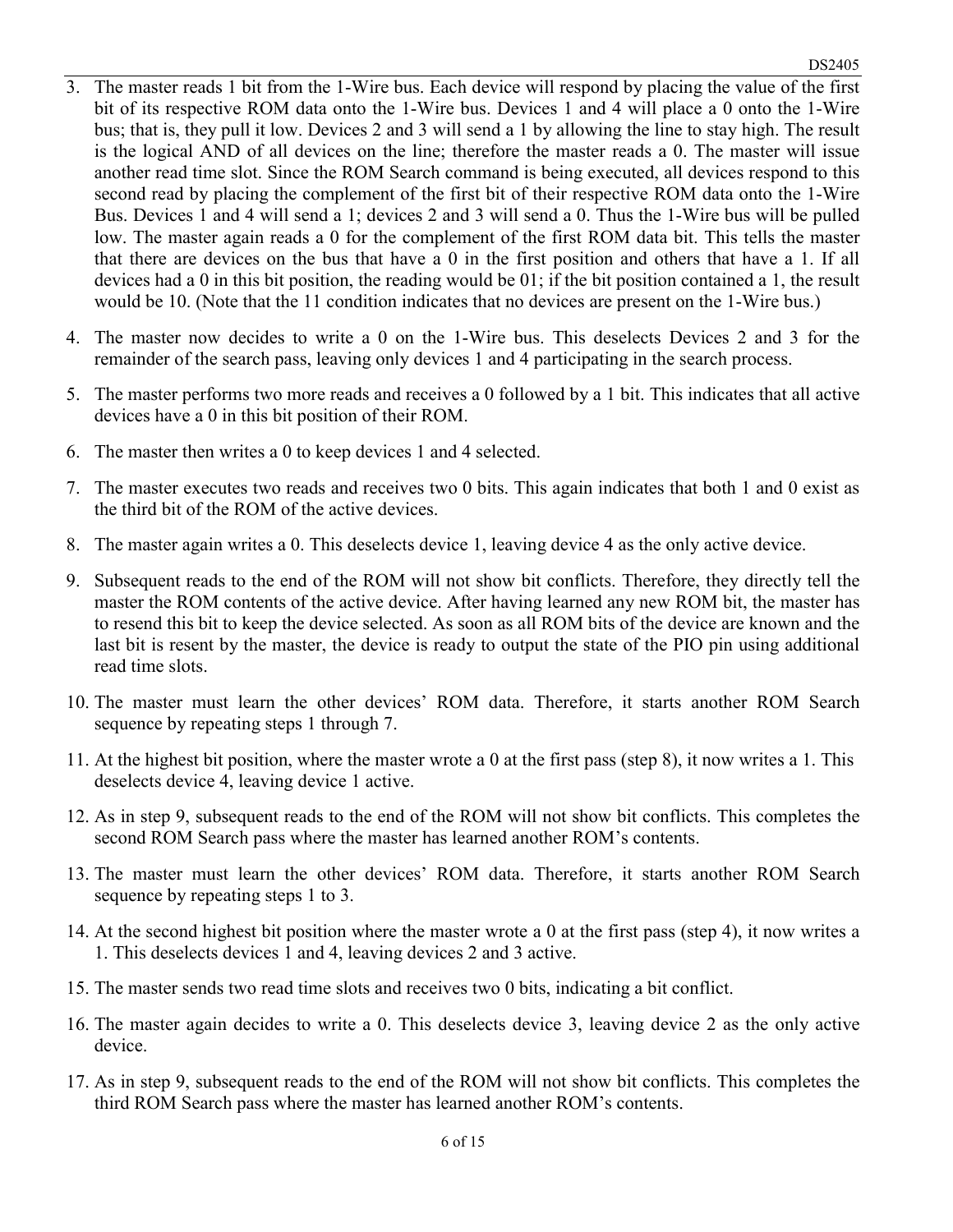- 3. The master reads 1 bit from the 1-Wire bus. Each device will respond by placing the value of the first bit of its respective ROM data onto the 1-Wire bus. Devices 1 and 4 will place a 0 onto the 1-Wire bus; that is, they pull it low. Devices 2 and 3 will send a 1 by allowing the line to stay high. The result is the logical AND of all devices on the line; therefore the master reads a 0. The master will issue another read time slot. Since the ROM Search command is being executed, all devices respond to this second read by placing the complement of the first bit of their respective ROM data onto the 1-Wire Bus. Devices 1 and 4 will send a 1; devices 2 and 3 will send a 0. Thus the 1-Wire bus will be pulled low. The master again reads a 0 for the complement of the first ROM data bit. This tells the master that there are devices on the bus that have a 0 in the first position and others that have a 1. If all devices had a 0 in this bit position, the reading would be 01; if the bit position contained a 1, the result would be 10. (Note that the 11 condition indicates that no devices are present on the 1-Wire bus.)
- 4. The master now decides to write a 0 on the 1-Wire bus. This deselects Devices 2 and 3 for the remainder of the search pass, leaving only devices 1 and 4 participating in the search process.
- 5. The master performs two more reads and receives a 0 followed by a 1 bit. This indicates that all active devices have a 0 in this bit position of their ROM.
- 6. The master then writes a 0 to keep devices 1 and 4 selected.
- 7. The master executes two reads and receives two 0 bits. This again indicates that both 1 and 0 exist as the third bit of the ROM of the active devices.
- 8. The master again writes a 0. This deselects device 1, leaving device 4 as the only active device.
- 9. Subsequent reads to the end of the ROM will not show bit conflicts. Therefore, they directly tell the master the ROM contents of the active device. After having learned any new ROM bit, the master has to resend this bit to keep the device selected. As soon as all ROM bits of the device are known and the last bit is resent by the master, the device is ready to output the state of the PIO pin using additional read time slots.
- 10. The master must learn the other devices' ROM data. Therefore, it starts another ROM Search sequence by repeating steps 1 through 7.
- 11. At the highest bit position, where the master wrote a 0 at the first pass (step 8), it now writes a 1. This deselects device 4, leaving device 1 active.
- 12. As in step 9, subsequent reads to the end of the ROM will not show bit conflicts. This completes the second ROM Search pass where the master has learned another ROM's contents.
- 13. The master must learn the other devices' ROM data. Therefore, it starts another ROM Search sequence by repeating steps 1 to 3.
- 14. At the second highest bit position where the master wrote a 0 at the first pass (step 4), it now writes a 1. This deselects devices 1 and 4, leaving devices 2 and 3 active.
- 15. The master sends two read time slots and receives two 0 bits, indicating a bit conflict.
- 16. The master again decides to write a 0. This deselects device 3, leaving device 2 as the only active device.
- 17. As in step 9, subsequent reads to the end of the ROM will not show bit conflicts. This completes the third ROM Search pass where the master has learned another ROM's contents.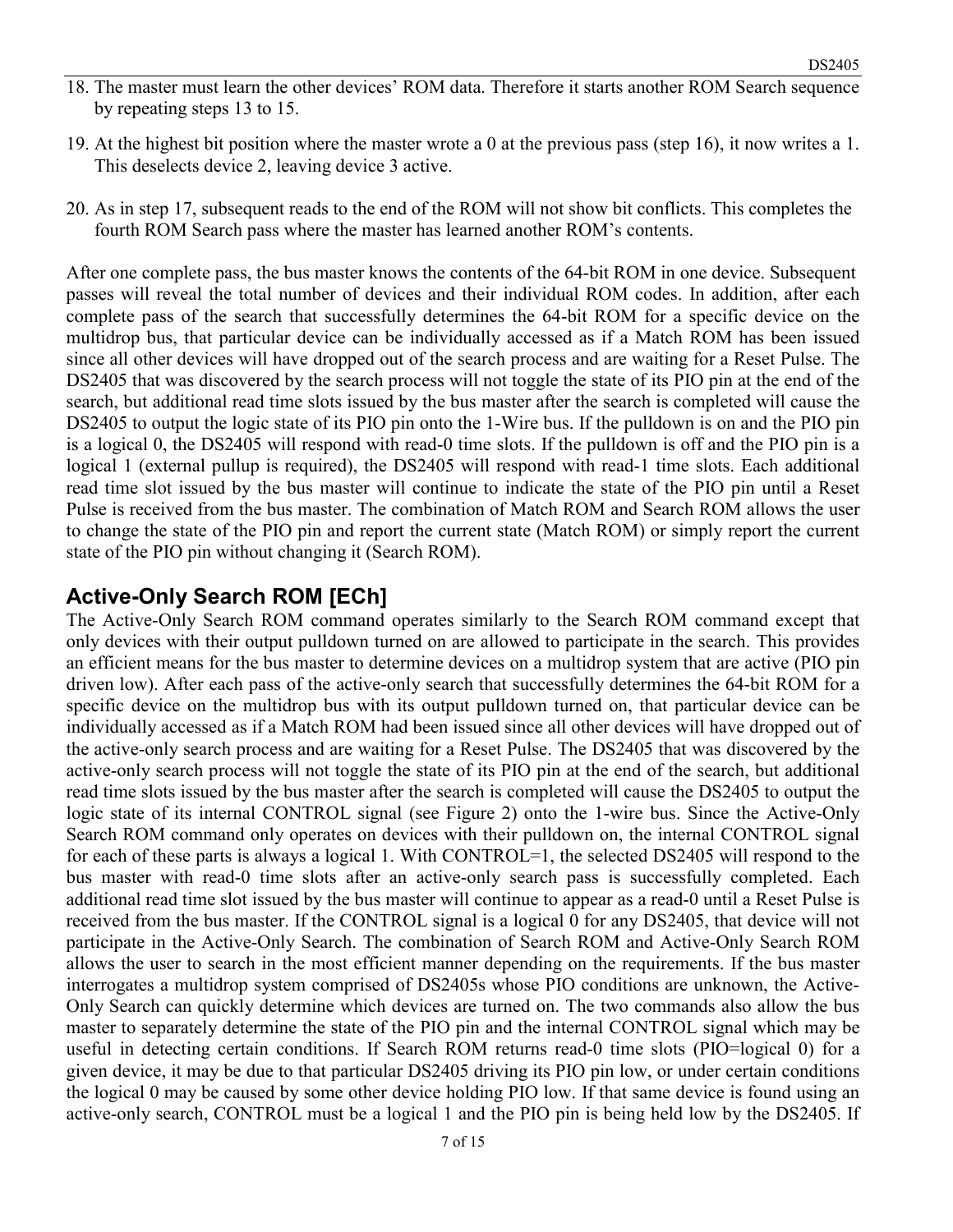- 18. The master must learn the other devices' ROM data. Therefore it starts another ROM Search sequence by repeating steps 13 to 15.
- 19. At the highest bit position where the master wrote a 0 at the previous pass (step 16), it now writes a 1. This deselects device 2, leaving device 3 active.
- 20. As in step 17, subsequent reads to the end of the ROM will not show bit conflicts. This completes the fourth ROM Search pass where the master has learned another ROM's contents.

After one complete pass, the bus master knows the contents of the 64-bit ROM in one device. Subsequent passes will reveal the total number of devices and their individual ROM codes. In addition, after each complete pass of the search that successfully determines the 64-bit ROM for a specific device on the multidrop bus, that particular device can be individually accessed as if a Match ROM has been issued since all other devices will have dropped out of the search process and are waiting for a Reset Pulse. The DS2405 that was discovered by the search process will not toggle the state of its PIO pin at the end of the search, but additional read time slots issued by the bus master after the search is completed will cause the DS2405 to output the logic state of its PIO pin onto the 1-Wire bus. If the pulldown is on and the PIO pin is a logical 0, the DS2405 will respond with read-0 time slots. If the pulldown is off and the PIO pin is a logical 1 (external pullup is required), the DS2405 will respond with read-1 time slots. Each additional read time slot issued by the bus master will continue to indicate the state of the PIO pin until a Reset Pulse is received from the bus master. The combination of Match ROM and Search ROM allows the user to change the state of the PIO pin and report the current state (Match ROM) or simply report the current state of the PIO pin without changing it (Search ROM).

#### **Active-Only Search ROM [ECh]**

The Active-Only Search ROM command operates similarly to the Search ROM command except that only devices with their output pulldown turned on are allowed to participate in the search. This provides an efficient means for the bus master to determine devices on a multidrop system that are active (PIO pin driven low). After each pass of the active-only search that successfully determines the 64-bit ROM for a specific device on the multidrop bus with its output pulldown turned on, that particular device can be individually accessed as if a Match ROM had been issued since all other devices will have dropped out of the active-only search process and are waiting for a Reset Pulse. The DS2405 that was discovered by the active-only search process will not toggle the state of its PIO pin at the end of the search, but additional read time slots issued by the bus master after the search is completed will cause the DS2405 to output the logic state of its internal CONTROL signal (see Figure 2) onto the 1-wire bus. Since the Active-Only Search ROM command only operates on devices with their pulldown on, the internal CONTROL signal for each of these parts is always a logical 1. With CONTROL=1, the selected DS2405 will respond to the bus master with read-0 time slots after an active-only search pass is successfully completed. Each additional read time slot issued by the bus master will continue to appear as a read-0 until a Reset Pulse is received from the bus master. If the CONTROL signal is a logical 0 for any DS2405, that device will not participate in the Active-Only Search. The combination of Search ROM and Active-Only Search ROM allows the user to search in the most efficient manner depending on the requirements. If the bus master interrogates a multidrop system comprised of DS2405s whose PIO conditions are unknown, the Active-Only Search can quickly determine which devices are turned on. The two commands also allow the bus master to separately determine the state of the PIO pin and the internal CONTROL signal which may be useful in detecting certain conditions. If Search ROM returns read-0 time slots (PIO=logical 0) for a given device, it may be due to that particular DS2405 driving its PIO pin low, or under certain conditions the logical 0 may be caused by some other device holding PIO low. If that same device is found using an active-only search, CONTROL must be a logical 1 and the PIO pin is being held low by the DS2405. If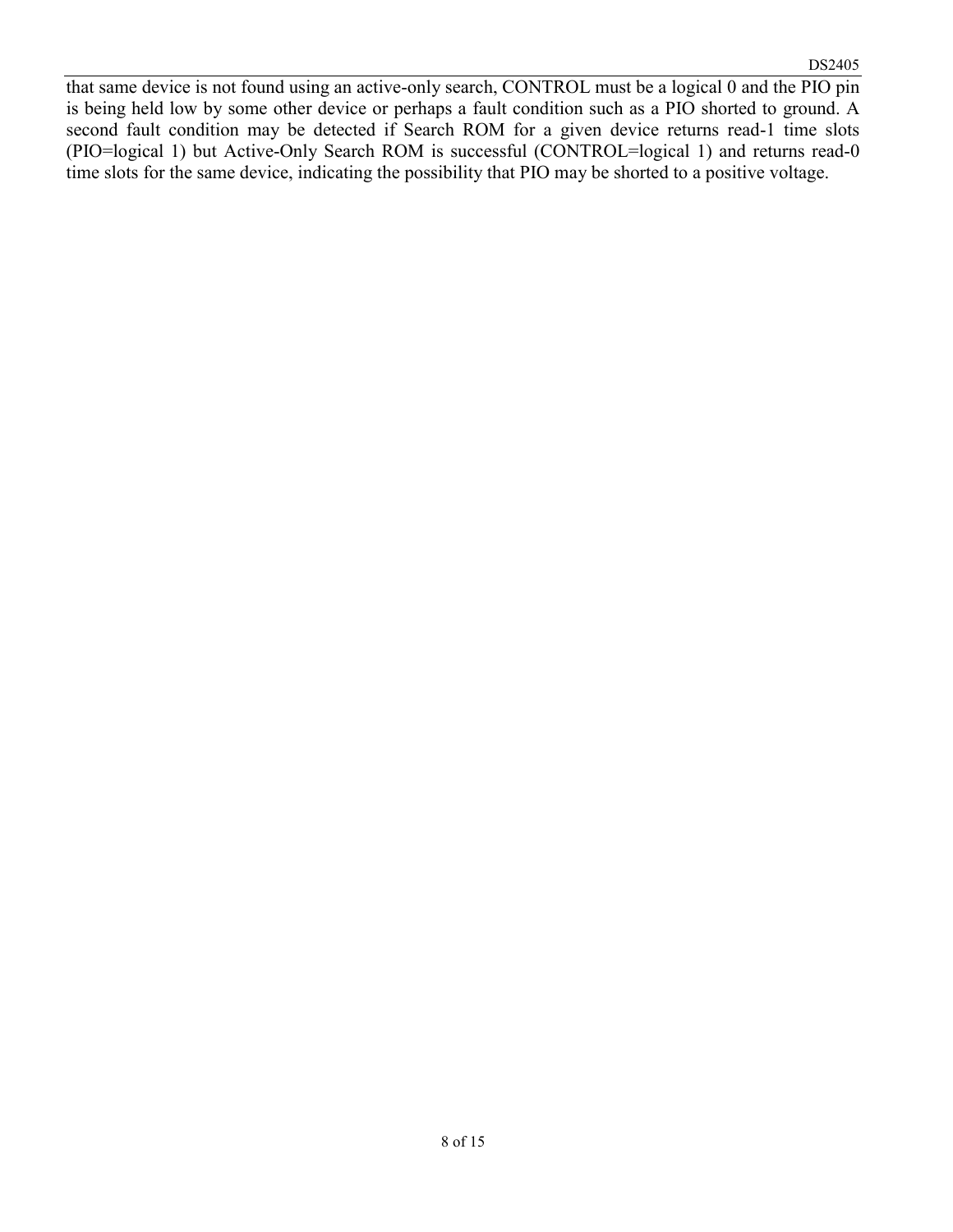that same device is not found using an active-only search, CONTROL must be a logical 0 and the PIO pin is being held low by some other device or perhaps a fault condition such as a PIO shorted to ground. A second fault condition may be detected if Search ROM for a given device returns read-1 time slots (PIO=logical 1) but Active-Only Search ROM is successful (CONTROL=logical 1) and returns read-0 time slots for the same device, indicating the possibility that PIO may be shorted to a positive voltage.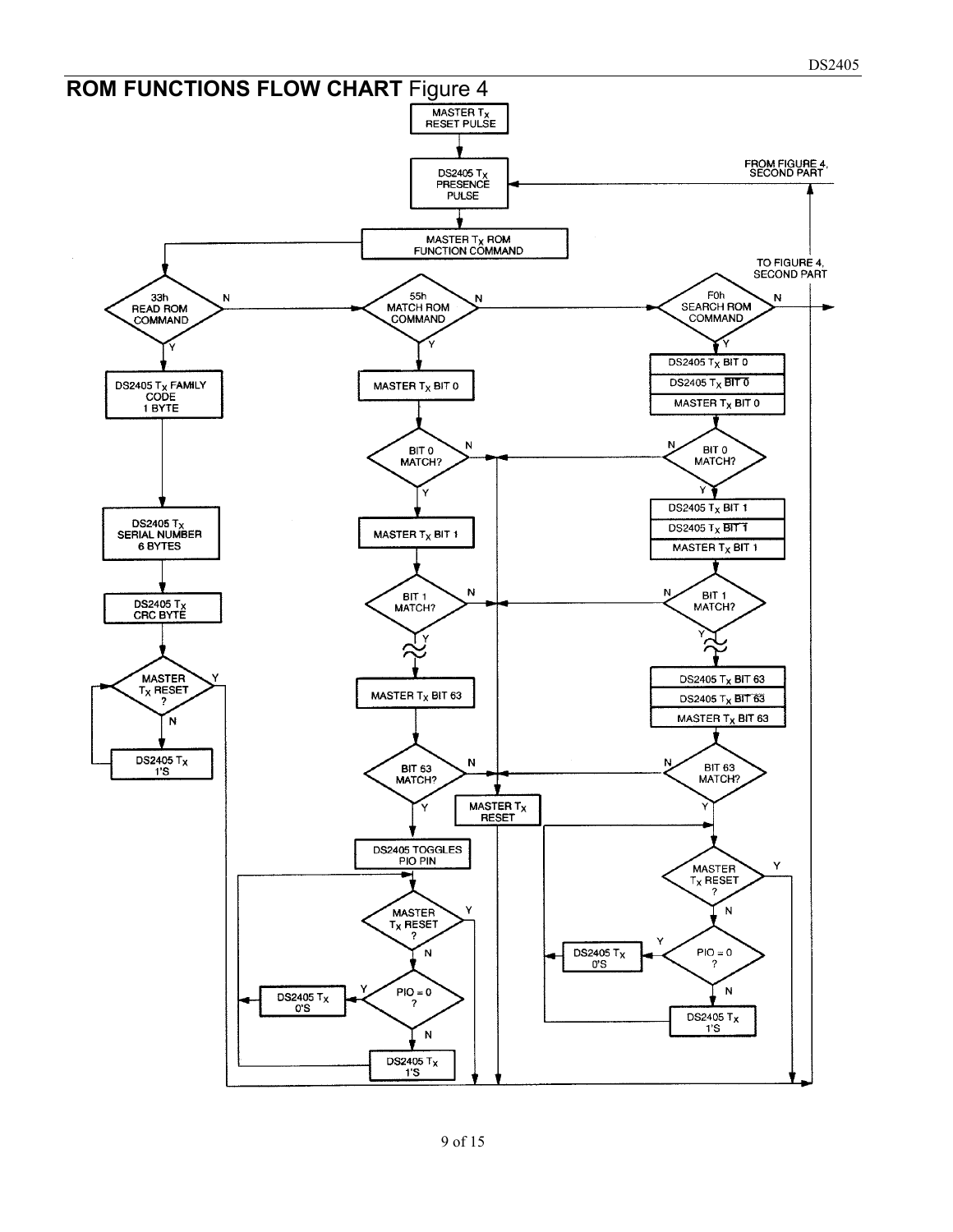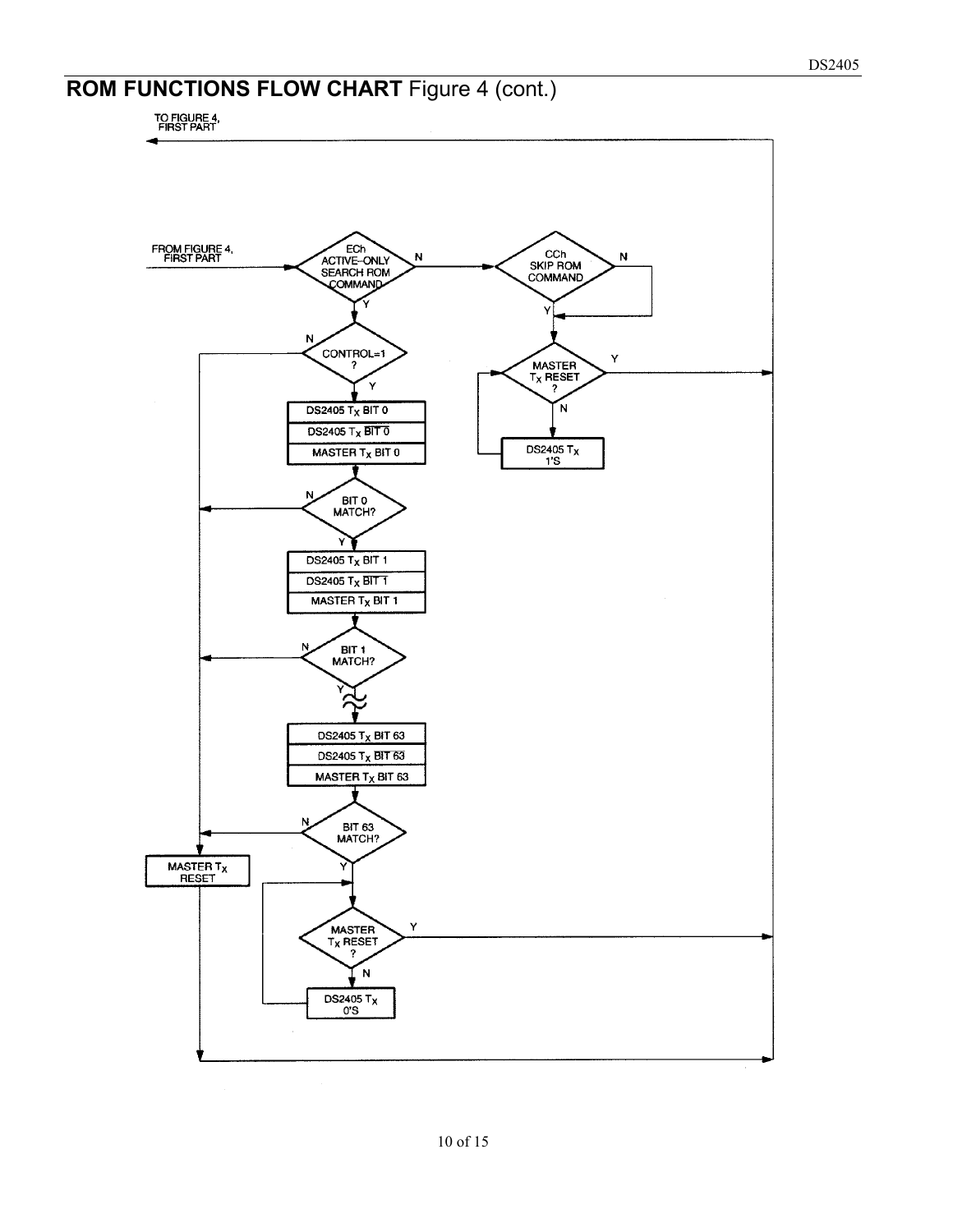# **ROM FUNCTIONS FLOW CHART** Figure 4 (cont.)

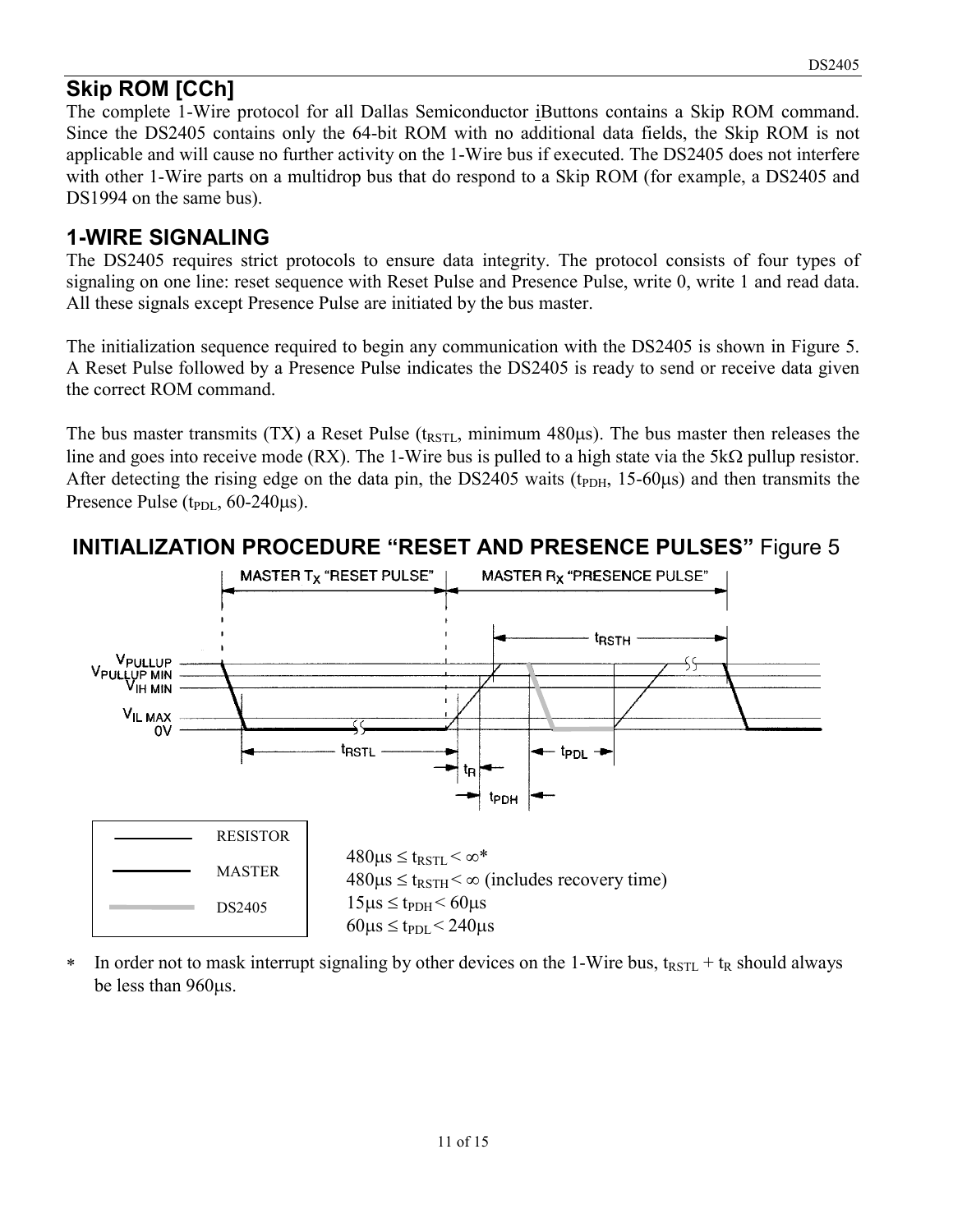# **Skip ROM [CCh]**

The complete 1-Wire protocol for all Dallas Semiconductor iButtons contains a Skip ROM command. Since the DS2405 contains only the 64-bit ROM with no additional data fields, the Skip ROM is not applicable and will cause no further activity on the 1-Wire bus if executed. The DS2405 does not interfere with other 1-Wire parts on a multidrop bus that do respond to a Skip ROM (for example, a DS2405 and DS1994 on the same bus).

# **1-WIRE SIGNALING**

The DS2405 requires strict protocols to ensure data integrity. The protocol consists of four types of signaling on one line: reset sequence with Reset Pulse and Presence Pulse, write 0, write 1 and read data. All these signals except Presence Pulse are initiated by the bus master.

The initialization sequence required to begin any communication with the DS2405 is shown in Figure 5. A Reset Pulse followed by a Presence Pulse indicates the DS2405 is ready to send or receive data given the correct ROM command.

The bus master transmits (TX) a Reset Pulse ( $t_{\text{RSTL}}$ , minimum 480 $\mu$ s). The bus master then releases the line and goes into receive mode (RX). The 1-Wire bus is pulled to a high state via the  $5k\Omega$  pullup resistor. After detecting the rising edge on the data pin, the DS2405 waits  $(t_{\text{PDH}}, 15{\text{-}}60\mu s)$  and then transmits the Presence Pulse  $(t_{PDL}, 60-240 \mu s)$ .



### **INITIALIZATION PROCEDURE "RESET AND PRESENCE PULSES"** Figure 5

In order not to mask interrupt signaling by other devices on the 1-Wire bus,  $t_{RSTL} + t_R$  should always be less than 960 $\mu$ s.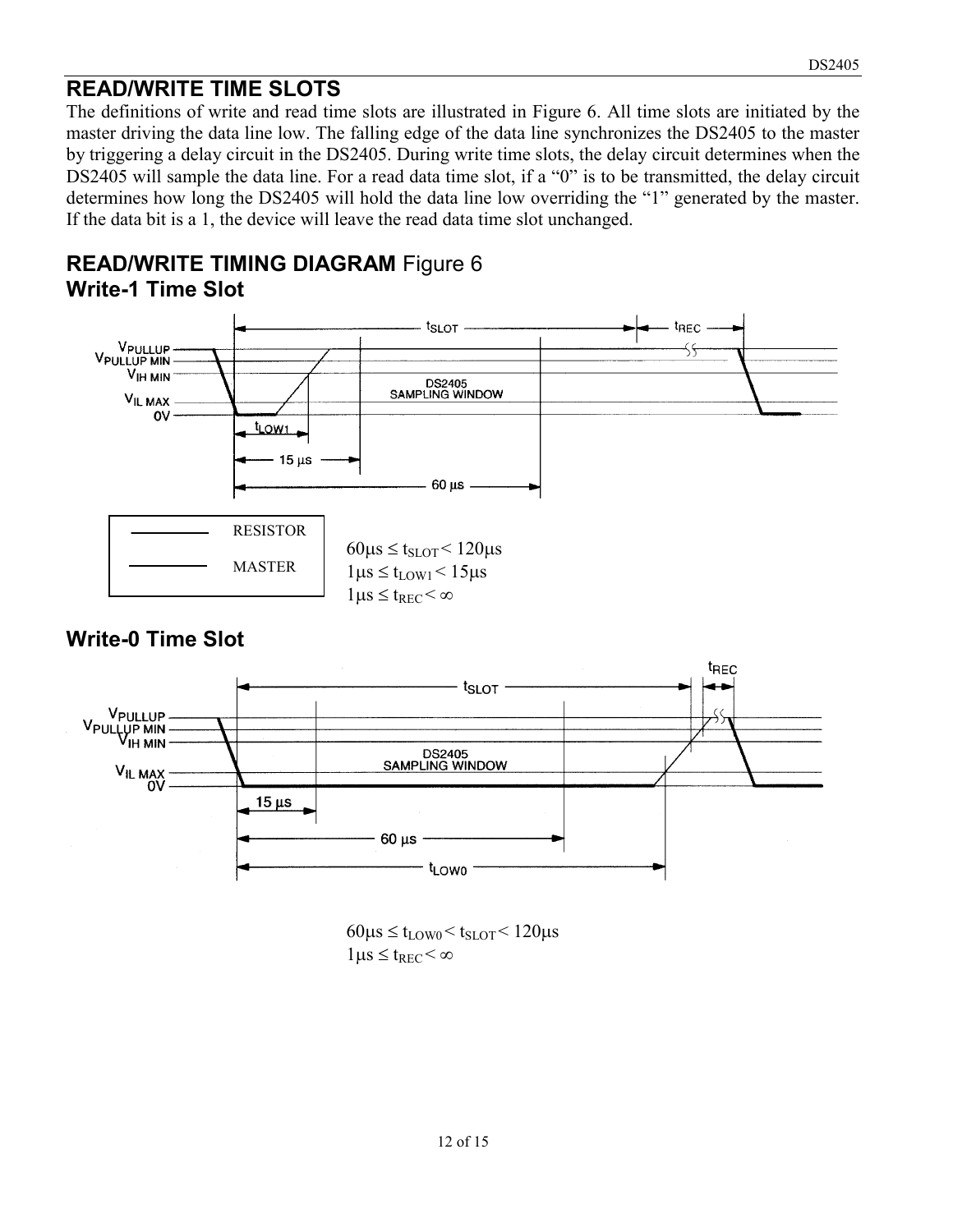#### **READ/WRITE TIME SLOTS**

The definitions of write and read time slots are illustrated in Figure 6. All time slots are initiated by the master driving the data line low. The falling edge of the data line synchronizes the DS2405 to the master by triggering a delay circuit in the DS2405. During write time slots, the delay circuit determines when the DS2405 will sample the data line. For a read data time slot, if a "0" is to be transmitted, the delay circuit determines how long the DS2405 will hold the data line low overriding the "1" generated by the master. If the data bit is a 1, the device will leave the read data time slot unchanged.

#### **READ/WRITE TIMING DIAGRAM** Figure 6 **Write-1 Time Slot**



#### **Write-0 Time Slot**



 $60\mu s \leq t_{\text{LOW}0} < t_{\text{SLOT}} < 120\mu s$  $1\mu s \leq t_{REC} < \infty$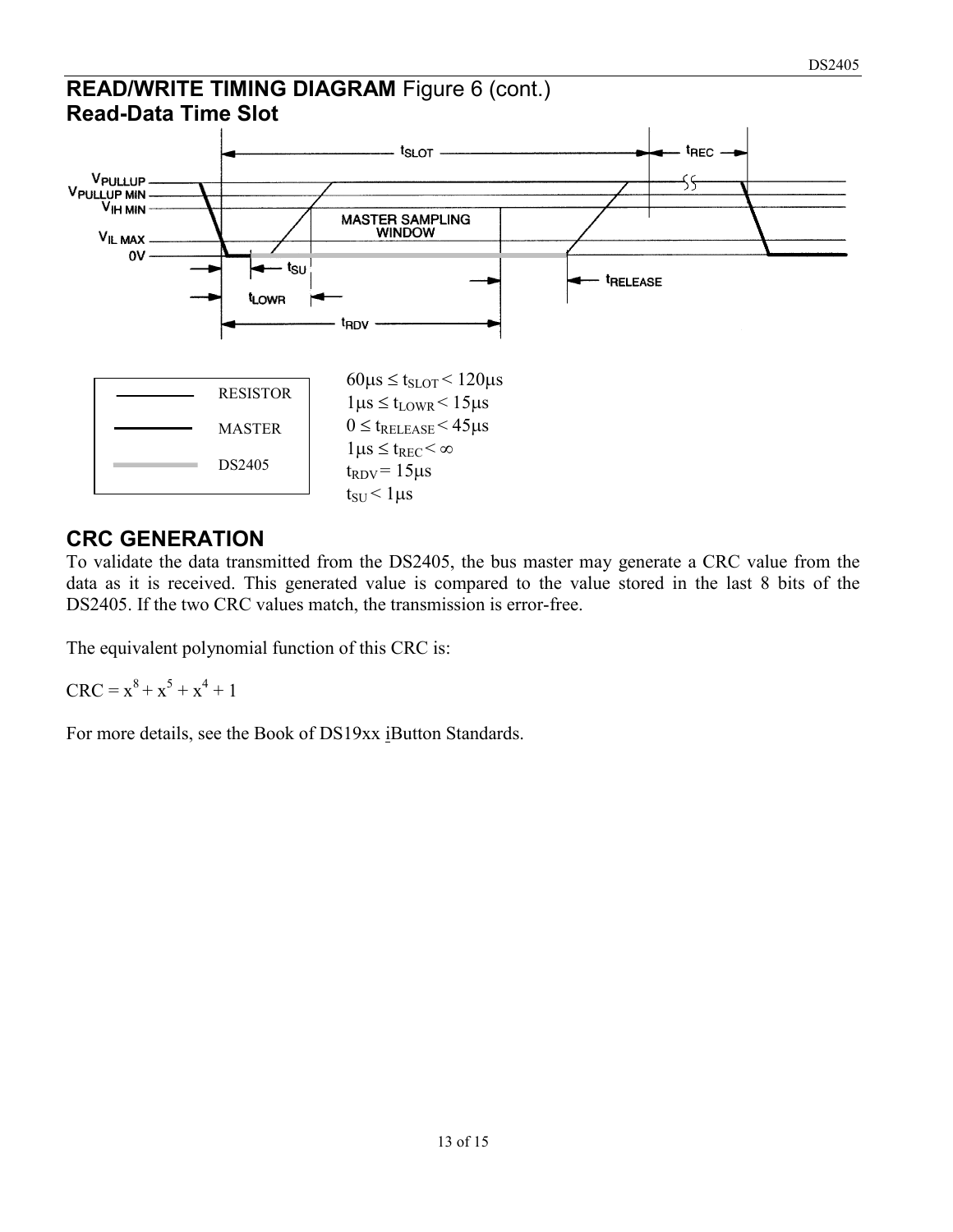#### **READ/WRITE TIMING DIAGRAM** Figure 6 (cont.) **Read-Data Time Slot**



# **CRC GENERATION**

To validate the data transmitted from the DS2405, the bus master may generate a CRC value from the data as it is received. This generated value is compared to the value stored in the last 8 bits of the DS2405. If the two CRC values match, the transmission is error-free.

The equivalent polynomial function of this CRC is:

 $CRC = x^8 + x^5 + x^4 + 1$ 

For more details, see the Book of DS19xx iButton Standards.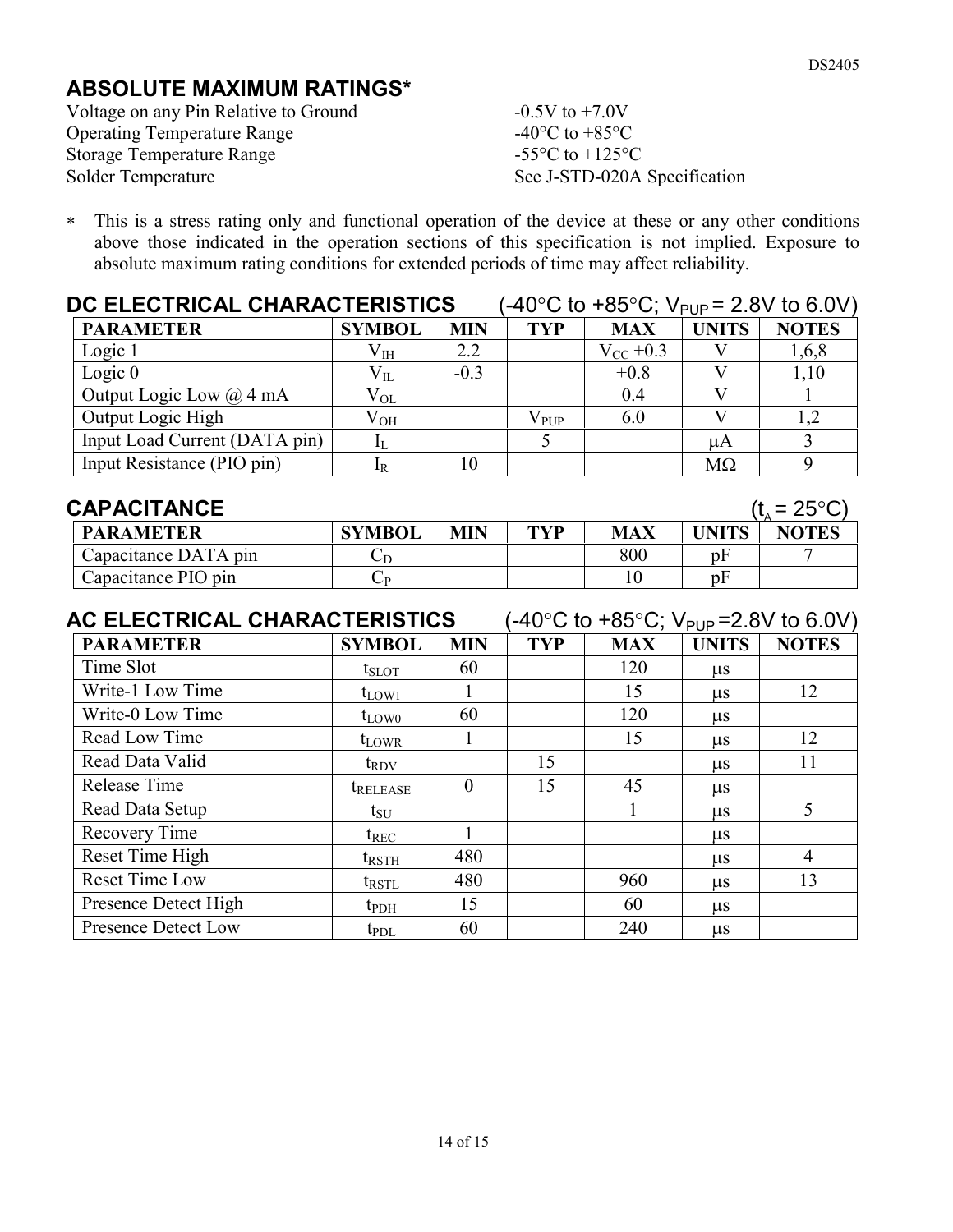# **ABSOLUTE MAXIMUM RATINGS\***

Voltage on any Pin Relative to Ground -0.5V to +7.0V Operating Temperature Range  $-40^{\circ}$ C to  $+85^{\circ}$ C Storage Temperature Range<br>
Solder Temperature -55°C to +125°C<br>
See J-STD-020A

See J-STD-020A Specification

 This is a stress rating only and functional operation of the device at these or any other conditions above those indicated in the operation sections of this specification is not implied. Exposure to absolute maximum rating conditions for extended periods of time may affect reliability.

| <b>DC ELECTRICAL CHARACTERISTICS</b> | (-40°C to +85°C; V <sub>PUP</sub> = 2.8V to 6.0V) |            |               |                   |              |              |
|--------------------------------------|---------------------------------------------------|------------|---------------|-------------------|--------------|--------------|
| <b>PARAMETER</b>                     | <b>SYMBOL</b>                                     | <b>MIN</b> | <b>TYP</b>    | <b>MAX</b>        | <b>UNITS</b> | <b>NOTES</b> |
| Logic 1                              | $\rm V_{\rm IH}$                                  | 2.2        |               | $V_{\rm CC} +0.3$ |              | 1,6,8        |
| Logic $0$                            | $\rm V_{II}$                                      | $-0.3$     |               | $+0.8$            |              | 1,10         |
| Output Logic Low $(a)$ 4 mA          | $V_{OL}$                                          |            |               | 0.4               |              |              |
| Output Logic High                    | $\rm V_{OH}$                                      |            | $\rm V_{PUP}$ | 6.0               |              | 1,2          |
| Input Load Current (DATA pin)        |                                                   |            |               |                   | uA           |              |
| Input Resistance (PIO pin)           | 1R                                                | 10         |               |                   | $M\Omega$    |              |

| <b>CAPACITANCE</b>   |               |            |     |            |       | $(t_{0} = 25^{\circ}C)$ |
|----------------------|---------------|------------|-----|------------|-------|-------------------------|
| <b>PARAMETER</b>     | <b>SYMBOL</b> | <b>MIN</b> | TVP | <b>MAX</b> | UNITS | <b>NOTES</b>            |
| Capacitance DATA pin |               |            |     | 800        | pF    |                         |
| Capacitance PIO pin  | $\cup P$      |            |     | 10         | ηF    |                         |

| AC ELECTRICAL CHARACTERISTICS | $(-40^{\circ}$ C to +85°C; V <sub>PUP</sub> = 2.8V to 6.0V) |            |            |            |              |                |
|-------------------------------|-------------------------------------------------------------|------------|------------|------------|--------------|----------------|
| <b>PARAMETER</b>              | <b>SYMBOL</b>                                               | <b>MIN</b> | <b>TYP</b> | <b>MAX</b> | <b>UNITS</b> | <b>NOTES</b>   |
| Time Slot                     | $t_{\rm SLOT}$                                              | 60         |            | 120        | $\mu$ s      |                |
| Write-1 Low Time              | $t_{LOW1}$                                                  |            |            | 15         | $\mu$ s      | 12             |
| Write-0 Low Time              | $t_{LOW0}$                                                  | 60         |            | 120        | $\mu$ s      |                |
| Read Low Time                 | $t_{LOWR}$                                                  |            |            | 15         | $\mu$ s      | 12             |
| Read Data Valid               | $t_{\rm RDV}$                                               |            | 15         |            | $\mu$ s      | 11             |
| Release Time                  | <i>t</i> RELEASE                                            | $\theta$   | 15         | 45         | $\mu$ s      |                |
| Read Data Setup               | $t_{\rm SU}$                                                |            |            |            | $\mu$ s      | 5              |
| Recovery Time                 | $t_{REC}$                                                   |            |            |            | $\mu$ s      |                |
| Reset Time High               | $t_{\rm RSTH}$                                              | 480        |            |            | $\mu$ s      | $\overline{4}$ |
| <b>Reset Time Low</b>         | t <sub>rstl</sub>                                           | 480        |            | 960        | $\mu$ s      | 13             |
| Presence Detect High          | $t_{\rm{PDH}}$                                              | 15         |            | 60         | $\mu$ s      |                |
| Presence Detect Low           | tpdl.                                                       | 60         |            | 240        | $\mu$ s      |                |